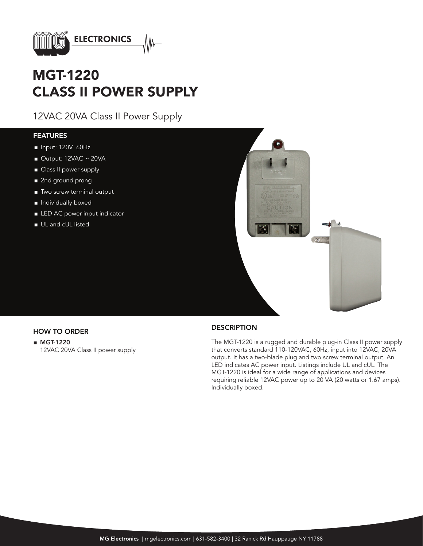

# MGT-1220 CLASS II POWER SUPPLY

12VAC 20VA Class II Power Supply

### FEATURES

- Input: 120V 60Hz
- Output: 12VAC ~ 20VA
- Class II power supply
- 2nd ground prong
- Two screw terminal output
- Individually boxed
- LED AC power input indicator
- UL and cUL listed



■ MGT-1220 12VAC 20VA Class II power supply

## HOW TO ORDER DESCRIPTION

The MGT-1220 is a rugged and durable plug-in Class II power supply that converts standard 110-120VAC, 60Hz, input into 12VAC, 20VA output. It has a two-blade plug and two screw terminal output. An LED indicates AC power input. Listings include UL and cUL. The MGT-1220 is ideal for a wide range of applications and devices requiring reliable 12VAC power up to 20 VA (20 watts or 1.67 amps). Individually boxed.